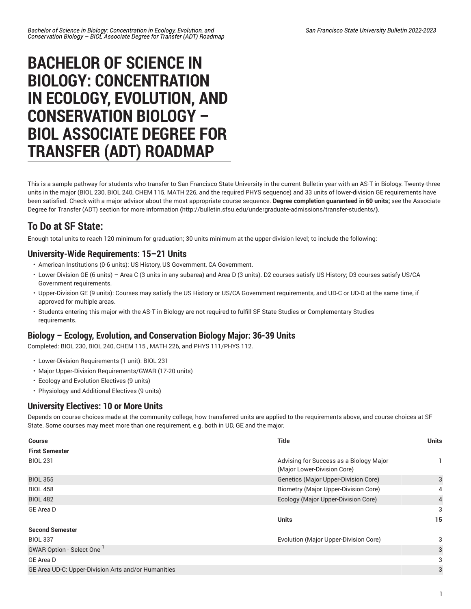# **BACHELOR OF SCIENCE IN BIOLOGY: CONCENTRATION IN ECOLOGY, EVOLUTION, AND CONSERVATION BIOLOGY – BIOL ASSOCIATE DEGREE FOR TRANSFER (ADT) ROADMAP**

This is a sample pathway for students who transfer to San Francisco State University in the current Bulletin year with an AS-T in Biology. Twenty-three units in the major (BIOL 230, BIOL 240, CHEM 115, MATH 226, and the required PHYS sequence) and 33 units of lower-division GE requirements have been satisfied. Check with a major advisor about the most appropriate course sequence. **Degree completion guaranteed in 60 units;** [see the Associate](http://bulletin.sfsu.edu/undergraduate-admissions/transfer-students/) Degree for Transfer (ADT) section for more [information](http://bulletin.sfsu.edu/undergraduate-admissions/transfer-students/) **(**<http://bulletin.sfsu.edu/undergraduate-admissions/transfer-students/>**).**

## **To Do at SF State:**

Enough total units to reach 120 minimum for graduation; 30 units minimum at the upper-division level; to include the following:

### **University-Wide Requirements: 15–21 Units**

- American Institutions (0-6 units): US History, US Government, CA Government.
- Lower-Division GE (6 units) Area C (3 units in any subarea) and Area D (3 units). D2 courses satisfy US History; D3 courses satisfy US/CA Government requirements.
- Upper-Division GE (9 units): Courses may satisfy the US History or US/CA Government requirements, and UD-C or UD-D at the same time, if approved for multiple areas.
- Students entering this major with the AS-T in Biology are not required to fulfill SF State Studies or Complementary Studies requirements.

### **Biology – Ecology, Evolution, and Conservation Biology Major: 36-39 Units**

Completed: BIOL 230, BIOL 240, CHEM 115 , MATH 226, and PHYS 111/PHYS 112.

- Lower-Division Requirements (1 unit): BIOL 231
- Major Upper-Division Requirements/GWAR (17-20 units)
- Ecology and Evolution Electives (9 units)
- Physiology and Additional Electives (9 units)

#### **University Electives: 10 or More Units**

Depends on course choices made at the community college, how transferred units are applied to the requirements above, and course choices at SF State. Some courses may meet more than one requirement, e.g. both in UD, GE and the major.

| <b>Course</b>                                       | <b>Title</b>                                                           | <b>Units</b>   |
|-----------------------------------------------------|------------------------------------------------------------------------|----------------|
| <b>First Semester</b>                               |                                                                        |                |
| <b>BIOL 231</b>                                     | Advising for Success as a Biology Major<br>(Major Lower-Division Core) |                |
| <b>BIOL 355</b>                                     | Genetics (Major Upper-Division Core)                                   | 3              |
| <b>BIOL 458</b>                                     | <b>Biometry (Major Upper-Division Core)</b>                            | 4              |
| <b>BIOL 482</b>                                     | Ecology (Major Upper-Division Core)                                    | $\overline{4}$ |
| GE Area D                                           |                                                                        | 3              |
|                                                     | <b>Units</b>                                                           | 15             |
| <b>Second Semester</b>                              |                                                                        |                |
| <b>BIOL 337</b>                                     | Evolution (Major Upper-Division Core)                                  | 3              |
| GWAR Option - Select One                            |                                                                        | 3              |
| GE Area D                                           |                                                                        | 3              |
| GE Area UD-C: Upper-Division Arts and/or Humanities |                                                                        | 3              |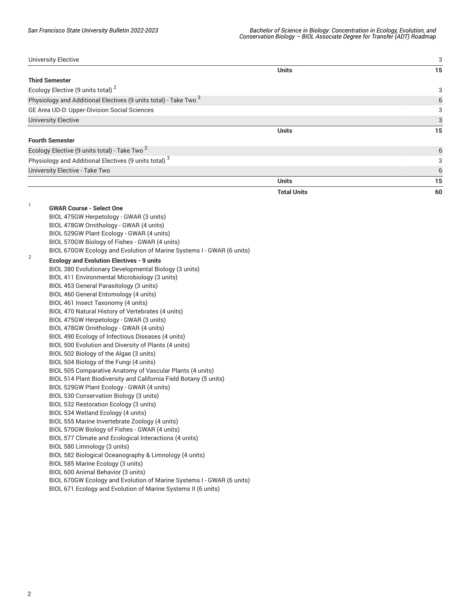| <b>University Elective</b>                                       |                    | 3  |
|------------------------------------------------------------------|--------------------|----|
|                                                                  | <b>Units</b>       | 15 |
| <b>Third Semester</b>                                            |                    |    |
| Ecology Elective (9 units total) <sup>2</sup>                    |                    | 3  |
| Physiology and Additional Electives (9 units total) - Take Two 3 |                    | 6  |
| GE Area UD-D: Upper-Division Social Sciences                     |                    | 3  |
| <b>University Elective</b>                                       |                    | 3  |
|                                                                  | <b>Units</b>       | 15 |
| <b>Fourth Semester</b>                                           |                    |    |
| Ecology Elective (9 units total) - Take Two <sup>2</sup>         |                    | 6  |
| Physiology and Additional Electives (9 units total) <sup>3</sup> |                    | 3  |
| University Elective - Take Two                                   |                    | 6  |
|                                                                  | <b>Units</b>       | 15 |
|                                                                  | <b>Total Units</b> | 60 |
| CWAD Course - Soloot One                                         |                    |    |

|                | <b>GWAR Course - Select One</b>                                       |
|----------------|-----------------------------------------------------------------------|
|                | BIOL 475GW Herpetology - GWAR (3 units)                               |
|                | BIOL 478GW Ornithology - GWAR (4 units)                               |
|                | BIOL 529GW Plant Ecology - GWAR (4 units)                             |
|                | BIOL 570GW Biology of Fishes - GWAR (4 units)                         |
|                | BIOL 670GW Ecology and Evolution of Marine Systems I - GWAR (6 units) |
| $\overline{2}$ | <b>Ecology and Evolution Electives - 9 units</b>                      |
|                | BIOL 380 Evolutionary Developmental Biology (3 units)                 |
|                | BIOL 411 Environmental Microbiology (3 units)                         |
|                | BIOL 453 General Parasitology (3 units)                               |
|                | BIOL 460 General Entomology (4 units)                                 |
|                | BIOL 461 Insect Taxonomy (4 units)                                    |
|                | BIOL 470 Natural History of Vertebrates (4 units)                     |
|                | BIOL 475GW Herpetology - GWAR (3 units)                               |
|                | BIOL 478GW Ornithology - GWAR (4 units)                               |
|                | BIOL 490 Ecology of Infectious Diseases (4 units)                     |
|                | BIOL 500 Evolution and Diversity of Plants (4 units)                  |
|                | BIOL 502 Biology of the Algae (3 units)                               |
|                | BIOL 504 Biology of the Fungi (4 units)                               |
|                | BIOL 505 Comparative Anatomy of Vascular Plants (4 units)             |
|                | BIOL 514 Plant Biodiversity and California Field Botany (5 units)     |
|                | BIOL 529GW Plant Ecology - GWAR (4 units)                             |
|                | BIOL 530 Conservation Biology (3 units)                               |
|                | BIOL 532 Restoration Ecology (3 units)                                |
|                | BIOL 534 Wetland Ecology (4 units)                                    |
|                | BIOL 555 Marine Invertebrate Zoology (4 units)                        |
|                | BIOL 570GW Biology of Fishes - GWAR (4 units)                         |
|                | BIOL 577 Climate and Ecological Interactions (4 units)                |
|                | BIOL 580 Limnology (3 units)                                          |
|                | BIOL 582 Biological Oceanography & Limnology (4 units)                |
|                | BIOL 585 Marine Ecology (3 units)                                     |
|                | BIOL 600 Animal Behavior (3 units)                                    |
|                | BIOL 670GW Ecology and Evolution of Marine Systems I - GWAR (6 units) |
|                | BIOL 671 Ecology and Evolution of Marine Systems II (6 units)         |